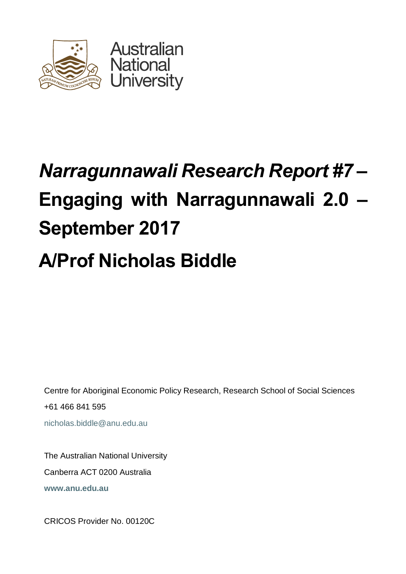

# *Narragunnawali Research Report #7* **– Engaging with Narragunnawali 2.0 – September 2017**

# **A/Prof Nicholas Biddle**

Centre for Aboriginal Economic Policy Research, Research School of Social Sciences +61 466 841 595 nicholas.biddle@anu.edu.au

The Australian National University Canberra ACT 0200 Australia **www.anu.edu.au**

CRICOS Provider No. 00120C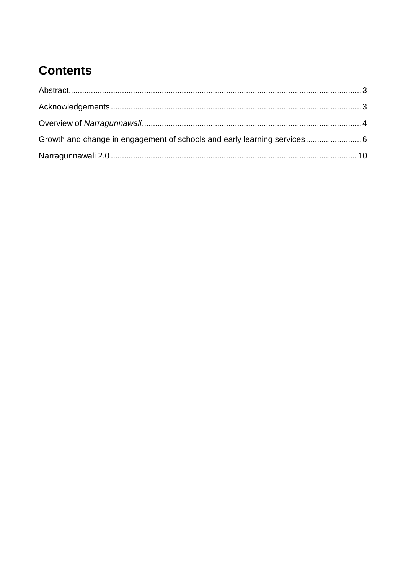## **Contents**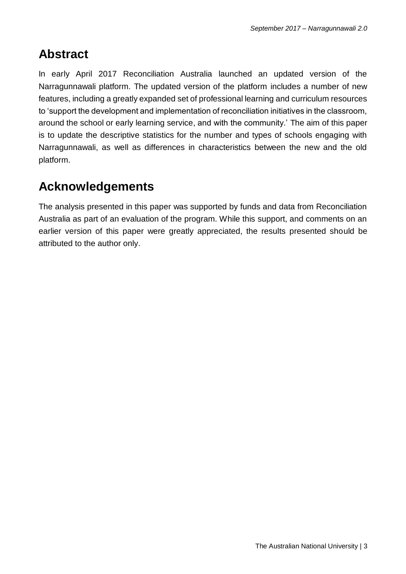#### <span id="page-2-0"></span>**Abstract**

In early April 2017 Reconciliation Australia launched an updated version of the Narragunnawali platform. The updated version of the platform includes a number of new features, including a greatly expanded set of professional learning and curriculum resources to 'support the development and implementation of reconciliation initiatives in the classroom, around the school or early learning service, and with the community.' The aim of this paper is to update the descriptive statistics for the number and types of schools engaging with Narragunnawali, as well as differences in characteristics between the new and the old platform.

### <span id="page-2-1"></span>**Acknowledgements**

The analysis presented in this paper was supported by funds and data from Reconciliation Australia as part of an evaluation of the program. While this support, and comments on an earlier version of this paper were greatly appreciated, the results presented should be attributed to the author only.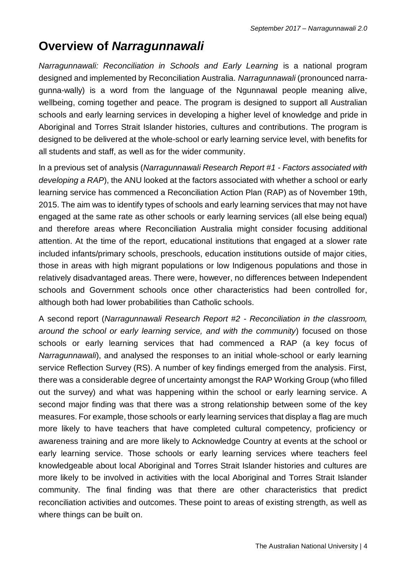#### <span id="page-3-0"></span>**Overview of** *Narragunnawali*

*Narragunnawali: Reconciliation in Schools and Early Learning* is a national program designed and implemented by Reconciliation Australia. *Narragunnawali* (pronounced narragunna-wally) is a word from the language of the Ngunnawal people meaning alive, wellbeing, coming together and peace. The program is designed to support all Australian schools and early learning services in developing a higher level of knowledge and pride in Aboriginal and Torres Strait Islander histories, cultures and contributions. The program is designed to be delivered at the whole-school or early learning service level, with benefits for all students and staff, as well as for the wider community.

In a previous set of analysis (*Narragunnawali Research Report #1 - Factors associated with developing a RAP*), the ANU looked at the factors associated with whether a school or early learning service has commenced a Reconciliation Action Plan (RAP) as of November 19th, 2015. The aim was to identify types of schools and early learning services that may not have engaged at the same rate as other schools or early learning services (all else being equal) and therefore areas where Reconciliation Australia might consider focusing additional attention. At the time of the report, educational institutions that engaged at a slower rate included infants/primary schools, preschools, education institutions outside of major cities, those in areas with high migrant populations or low Indigenous populations and those in relatively disadvantaged areas. There were, however, no differences between Independent schools and Government schools once other characteristics had been controlled for, although both had lower probabilities than Catholic schools.

A second report (*Narragunnawali Research Report #2 - Reconciliation in the classroom, around the school or early learning service, and with the community*) focused on those schools or early learning services that had commenced a RAP (a key focus of *Narragunnawali*), and analysed the responses to an initial whole-school or early learning service Reflection Survey (RS). A number of key findings emerged from the analysis. First, there was a considerable degree of uncertainty amongst the RAP Working Group (who filled out the survey) and what was happening within the school or early learning service. A second major finding was that there was a strong relationship between some of the key measures. For example, those schools or early learning services that display a flag are much more likely to have teachers that have completed cultural competency, proficiency or awareness training and are more likely to Acknowledge Country at events at the school or early learning service. Those schools or early learning services where teachers feel knowledgeable about local Aboriginal and Torres Strait Islander histories and cultures are more likely to be involved in activities with the local Aboriginal and Torres Strait Islander community. The final finding was that there are other characteristics that predict reconciliation activities and outcomes. These point to areas of existing strength, as well as where things can be built on.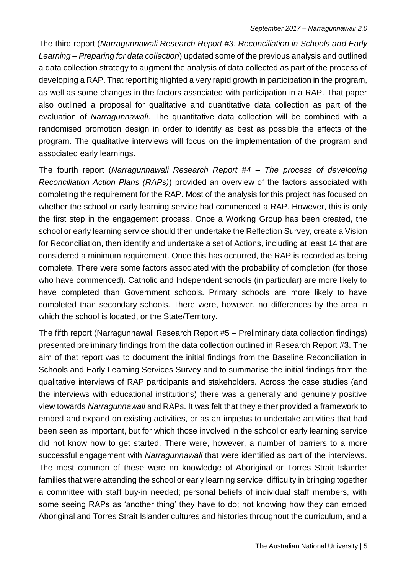The third report (*Narragunnawali Research Report #3: Reconciliation in Schools and Early Learning – Preparing for data collection*) updated some of the previous analysis and outlined a data collection strategy to augment the analysis of data collected as part of the process of developing a RAP. That report highlighted a very rapid growth in participation in the program, as well as some changes in the factors associated with participation in a RAP. That paper also outlined a proposal for qualitative and quantitative data collection as part of the evaluation of *Narragunnawali*. The quantitative data collection will be combined with a randomised promotion design in order to identify as best as possible the effects of the program. The qualitative interviews will focus on the implementation of the program and associated early learnings.

The fourth report (*Narragunnawali Research Report #4 – The process of developing Reconciliation Action Plans (RAPs)*) provided an overview of the factors associated with completing the requirement for the RAP. Most of the analysis for this project has focused on whether the school or early learning service had commenced a RAP. However, this is only the first step in the engagement process. Once a Working Group has been created, the school or early learning service should then undertake the Reflection Survey, create a Vision for Reconciliation, then identify and undertake a set of Actions, including at least 14 that are considered a minimum requirement. Once this has occurred, the RAP is recorded as being complete. There were some factors associated with the probability of completion (for those who have commenced). Catholic and Independent schools (in particular) are more likely to have completed than Government schools. Primary schools are more likely to have completed than secondary schools. There were, however, no differences by the area in which the school is located, or the State/Territory.

The fifth report (Narragunnawali Research Report #5 – Preliminary data collection findings) presented preliminary findings from the data collection outlined in Research Report #3. The aim of that report was to document the initial findings from the Baseline Reconciliation in Schools and Early Learning Services Survey and to summarise the initial findings from the qualitative interviews of RAP participants and stakeholders. Across the case studies (and the interviews with educational institutions) there was a generally and genuinely positive view towards *Narragunnawali* and RAPs. It was felt that they either provided a framework to embed and expand on existing activities, or as an impetus to undertake activities that had been seen as important, but for which those involved in the school or early learning service did not know how to get started. There were, however, a number of barriers to a more successful engagement with *Narragunnawali* that were identified as part of the interviews. The most common of these were no knowledge of Aboriginal or Torres Strait Islander families that were attending the school or early learning service; difficulty in bringing together a committee with staff buy-in needed; personal beliefs of individual staff members, with some seeing RAPs as 'another thing' they have to do; not knowing how they can embed Aboriginal and Torres Strait Islander cultures and histories throughout the curriculum, and a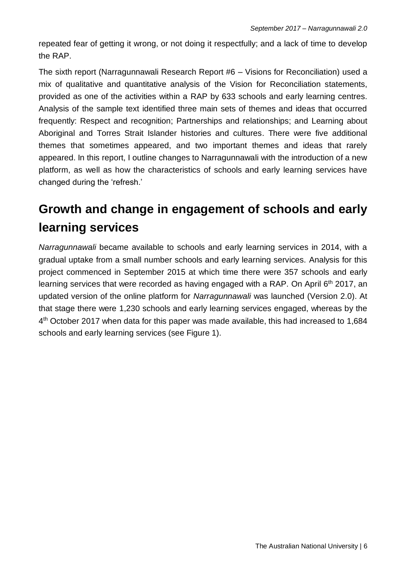repeated fear of getting it wrong, or not doing it respectfully; and a lack of time to develop the RAP.

The sixth report (Narragunnawali Research Report #6 – Visions for Reconciliation) used a mix of qualitative and quantitative analysis of the Vision for Reconciliation statements, provided as one of the activities within a RAP by 633 schools and early learning centres. Analysis of the sample text identified three main sets of themes and ideas that occurred frequently: Respect and recognition; Partnerships and relationships; and Learning about Aboriginal and Torres Strait Islander histories and cultures. There were five additional themes that sometimes appeared, and two important themes and ideas that rarely appeared. In this report, I outline changes to Narragunnawali with the introduction of a new platform, as well as how the characteristics of schools and early learning services have changed during the 'refresh.'

### <span id="page-5-0"></span>**Growth and change in engagement of schools and early learning services**

*Narragunnawali* became available to schools and early learning services in 2014, with a gradual uptake from a small number schools and early learning services. Analysis for this project commenced in September 2015 at which time there were 357 schools and early learning services that were recorded as having engaged with a RAP. On April 6<sup>th</sup> 2017, an updated version of the online platform for *Narragunnawali* was launched (Version 2.0). At that stage there were 1,230 schools and early learning services engaged, whereas by the 4<sup>th</sup> October 2017 when data for this paper was made available, this had increased to 1,684 schools and early learning services (see Figure 1).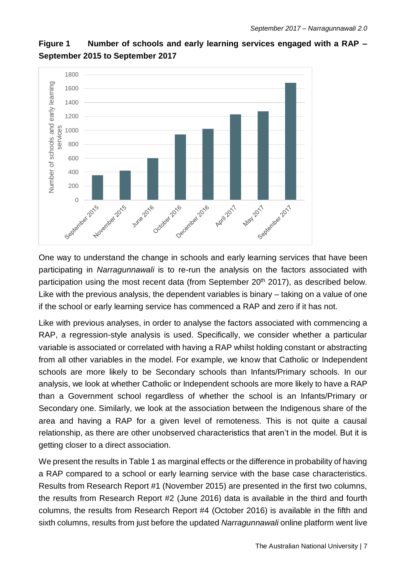

**Figure 1 Number of schools and early learning services engaged with a RAP – September 2015 to September 2017**

One way to understand the change in schools and early learning services that have been participating in *Narragunnawali* is to re-run the analysis on the factors associated with participation using the most recent data (from September 20<sup>th</sup> 2017), as described below. Like with the previous analysis, the dependent variables is binary – taking on a value of one if the school or early learning service has commenced a RAP and zero if it has not.

Like with previous analyses, in order to analyse the factors associated with commencing a RAP, a regression-style analysis is used. Specifically, we consider whether a particular variable is associated or correlated with having a RAP whilst holding constant or abstracting from all other variables in the model. For example, we know that Catholic or Independent schools are more likely to be Secondary schools than Infants/Primary schools. In our analysis, we look at whether Catholic or Independent schools are more likely to have a RAP than a Government school regardless of whether the school is an Infants/Primary or Secondary one. Similarly, we look at the association between the Indigenous share of the area and having a RAP for a given level of remoteness. This is not quite a causal relationship, as there are other unobserved characteristics that aren't in the model. But it is getting closer to a direct association.

We present the results in Table 1 as marginal effects or the difference in probability of having a RAP compared to a school or early learning service with the base case characteristics. Results from Research Report #1 (November 2015) are presented in the first two columns, the results from Research Report #2 (June 2016) data is available in the third and fourth columns, the results from Research Report #4 (October 2016) is available in the fifth and sixth columns, results from just before the updated *Narragunnawali* online platform went live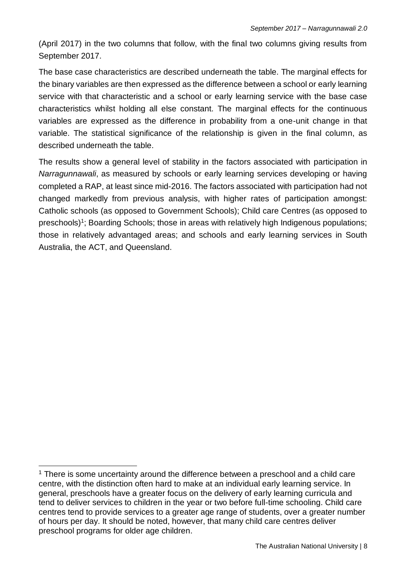(April 2017) in the two columns that follow, with the final two columns giving results from September 2017.

The base case characteristics are described underneath the table. The marginal effects for the binary variables are then expressed as the difference between a school or early learning service with that characteristic and a school or early learning service with the base case characteristics whilst holding all else constant. The marginal effects for the continuous variables are expressed as the difference in probability from a one-unit change in that variable. The statistical significance of the relationship is given in the final column, as described underneath the table.

The results show a general level of stability in the factors associated with participation in *Narragunnawali*, as measured by schools or early learning services developing or having completed a RAP, at least since mid-2016. The factors associated with participation had not changed markedly from previous analysis, with higher rates of participation amongst: Catholic schools (as opposed to Government Schools); Child care Centres (as opposed to preschools)<sup>1</sup>; Boarding Schools; those in areas with relatively high Indigenous populations; those in relatively advantaged areas; and schools and early learning services in South Australia, the ACT, and Queensland.

l

 $1$  There is some uncertainty around the difference between a preschool and a child care centre, with the distinction often hard to make at an individual early learning service. In general, preschools have a greater focus on the delivery of early learning curricula and tend to deliver services to children in the year or two before full-time schooling. Child care centres tend to provide services to a greater age range of students, over a greater number of hours per day. It should be noted, however, that many child care centres deliver preschool programs for older age children.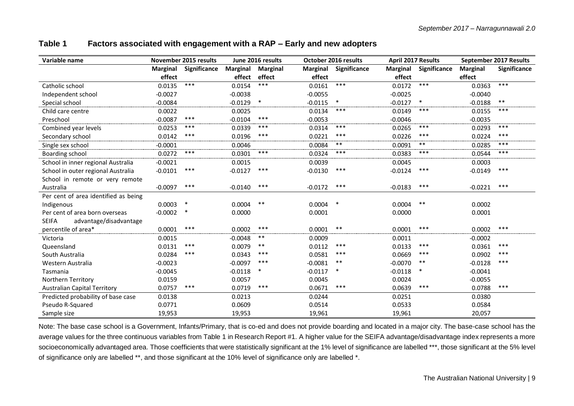#### **Table 1 Factors associated with engagement with a RAP – Early and new adopters**

| Variable name                          | <b>November 2015 results</b> |              | June 2016 results |                 |                 | October 2016 results |                 | <b>April 2017 Results</b> |                 | September 2017 Results |  |
|----------------------------------------|------------------------------|--------------|-------------------|-----------------|-----------------|----------------------|-----------------|---------------------------|-----------------|------------------------|--|
|                                        | <b>Marginal</b>              | Significance | <b>Marginal</b>   | <b>Marginal</b> | <b>Marginal</b> | Significance         | <b>Marginal</b> | Significance              | <b>Marginal</b> | Significance           |  |
|                                        | effect                       |              | effect            | effect          | effect          |                      | effect          |                           | effect          |                        |  |
| Catholic school                        | 0.0135                       | $***$        | 0.0154            | ***             | 0.0161          | ***                  | 0.0172          | $***$                     | 0.0363          | $***$                  |  |
| Independent school                     | $-0.0027$                    |              | $-0.0038$         |                 | $-0.0055$       |                      | $-0.0025$       |                           | $-0.0040$       |                        |  |
| Special school                         | $-0.0084$                    |              | $-0.0129$         | $\ast$          | $-0.0115$       | $\ast$               | $-0.0127$       | $\ast$                    | $-0.0188$       | $***$                  |  |
| Child care centre                      | 0.0022                       |              | 0.0025            |                 | 0.0134          | ***                  | 0.0149          | ***                       | 0.0155          | ***                    |  |
| Preschool                              | $-0.0087$                    | ***          | $-0.0104$         | ***             | $-0.0053$       |                      | $-0.0046$       |                           | $-0.0035$       |                        |  |
| Combined year levels                   | 0.0253                       | ***          | 0.0339            | $***$           | 0.0314          | $***$                | 0.0265          | $***$                     | 0.0293          | ***                    |  |
| Secondary school                       | 0.0142                       | ***          | 0.0196            | ***             | 0.0221          | ***                  | 0.0226          | ***                       | 0.0224          | ***                    |  |
| Single sex school                      | $-0.0001$                    |              | 0.0046            |                 | 0.0084          | $***$                | 0.0091          | $***$                     | 0.0285          | ***                    |  |
| <b>Boarding school</b>                 | 0.0272                       | ***          | 0.0301            | ***             | 0.0324          | ***                  | 0.0383          | ***                       | 0.0544          | ***                    |  |
| School in inner regional Australia     | $-0.0021$                    |              | 0.0015            |                 | 0.0039          |                      | 0.0045          |                           | 0.0003          |                        |  |
| School in outer regional Australia     | $-0.0101$                    | ***          | $-0.0127$         | ***             | $-0.0130$       | ***                  | $-0.0124$       | ***                       | $-0.0149$       | ***                    |  |
| School in remote or very remote        |                              |              |                   |                 |                 |                      |                 |                           |                 |                        |  |
| Australia                              | $-0.0097$                    | ***          | $-0.0140$         | ***             | $-0.0172$       | $***$                | $-0.0183$       | ***                       | $-0.0221$       | ***                    |  |
| Per cent of area identified as being   |                              |              |                   |                 |                 |                      |                 |                           |                 |                        |  |
| Indigenous                             | 0.0003                       |              | 0.0004            | $***$           | 0.0004          | $\ast$               | 0.0004          | $***$                     | 0.0002          |                        |  |
| Per cent of area born overseas         | $-0.0002$                    | $\ast$       | 0.0000            |                 | 0.0001          |                      | 0.0000          |                           | 0.0001          |                        |  |
| advantage/disadvantage<br><b>SEIFA</b> |                              |              |                   |                 |                 |                      |                 |                           |                 |                        |  |
| percentile of area*                    | 0.0001                       | ***          | 0.0002            | ***             | 0.0001          | $***$                | 0.0001          | ***                       | 0.0002          | ***                    |  |
| Victoria                               | 0.0015                       |              | $-0.0048$         | $***$           | 0.0009          |                      | 0.0011          |                           | $-0.0002$       |                        |  |
| Queensland                             | 0.0131                       | ***          | 0.0079            | $***$           | 0.0112          | ***                  | 0.0133          | ***                       | 0.0361          | ***                    |  |
| South Australia                        | 0.0284                       | ***          | 0.0343            | $***$           | 0.0581          | ***                  | 0.0669          | $***$                     | 0.0902          | $***$                  |  |
| Western Australia                      | $-0.0023$                    |              | $-0.0097$         | ***             | $-0.0081$       | $***$                | $-0.0070$       | $***$                     | $-0.0128$       | ***                    |  |
| Tasmania                               | $-0.0045$                    |              | $-0.0118$         | $\ast$          | $-0.0117$       | $\ast$               | $-0.0118$       | $\ast$                    | $-0.0041$       |                        |  |
| Northern Territory                     | 0.0159                       |              | 0.0057            |                 | 0.0045          |                      | 0.0024          |                           | $-0.0055$       |                        |  |
| <b>Australian Capital Territory</b>    | 0.0757                       | ***          | 0.0719            | ***             | 0.0671          | ***                  | 0.0639          | ***                       | 0.0788          | ***                    |  |
| Predicted probability of base case     | 0.0138                       |              | 0.0213            |                 | 0.0244          |                      | 0.0251          |                           | 0.0380          |                        |  |
| Pseudo R-Squared                       | 0.0771                       |              | 0.0609            |                 | 0.0514          |                      | 0.0533          |                           | 0.0584          |                        |  |
| Sample size                            | 19,953                       |              | 19,953            |                 | 19,961          |                      | 19,961          |                           | 20,057          |                        |  |

Note: The base case school is a Government, Infants/Primary, that is co-ed and does not provide boarding and located in a major city. The base-case school has the average values for the three continuous variables from Table 1 in Research Report #1. A higher value for the SEIFA advantage/disadvantage index represents a more socioeconomically advantaged area. Those coefficients that were statistically significant at the 1% level of significance are labelled \*\*\*, those significant at the 5% level of significance only are labelled \*\*, and those significant at the 10% level of significance only are labelled \*.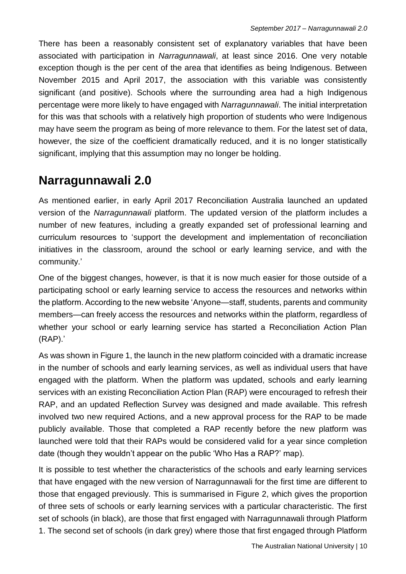There has been a reasonably consistent set of explanatory variables that have been associated with participation in *Narragunnawali*, at least since 2016. One very notable exception though is the per cent of the area that identifies as being Indigenous. Between November 2015 and April 2017, the association with this variable was consistently significant (and positive). Schools where the surrounding area had a high Indigenous percentage were more likely to have engaged with *Narragunnawali*. The initial interpretation for this was that schools with a relatively high proportion of students who were Indigenous may have seem the program as being of more relevance to them. For the latest set of data, however, the size of the coefficient dramatically reduced, and it is no longer statistically significant, implying that this assumption may no longer be holding.

#### <span id="page-9-0"></span>**Narragunnawali 2.0**

As mentioned earlier, in early April 2017 Reconciliation Australia launched an updated version of the *Narragunnawali* platform. The updated version of the platform includes a number of new features, including a greatly expanded set of professional learning and curriculum resources to 'support the development and implementation of reconciliation initiatives in the classroom, around the school or early learning service, and with the community.'

One of the biggest changes, however, is that it is now much easier for those outside of a participating school or early learning service to access the resources and networks within the platform. According to the new website 'Anyone—staff, students, parents and community members—can freely access the resources and networks within the platform, regardless of whether your school or early learning service has started a Reconciliation Action Plan (RAP).'

As was shown in Figure 1, the launch in the new platform coincided with a dramatic increase in the number of schools and early learning services, as well as individual users that have engaged with the platform. When the platform was updated, schools and early learning services with an existing Reconciliation Action Plan (RAP) were encouraged to refresh their RAP, and an updated Reflection Survey was designed and made available. This refresh involved two new required Actions, and a new approval process for the RAP to be made publicly available. Those that completed a RAP recently before the new platform was launched were told that their RAPs would be considered valid for a year since completion date (though they wouldn't appear on the public 'Who Has a RAP?' map).

It is possible to test whether the characteristics of the schools and early learning services that have engaged with the new version of Narragunnawali for the first time are different to those that engaged previously. This is summarised in Figure 2, which gives the proportion of three sets of schools or early learning services with a particular characteristic. The first set of schools (in black), are those that first engaged with Narragunnawali through Platform 1. The second set of schools (in dark grey) where those that first engaged through Platform